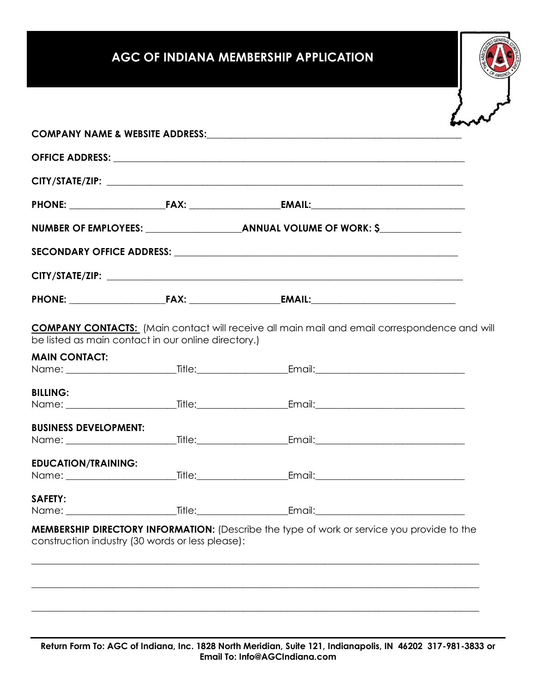# **AGC OF INDIANA MEMBERSHIP APPLICATION**

|                                                                             |  | <b>COMPANY CONTACTS:</b> (Main contact will receive all main mail and email correspondence and will |  |
|-----------------------------------------------------------------------------|--|-----------------------------------------------------------------------------------------------------|--|
| be listed as main contact in our online directory.)<br><b>MAIN CONTACT:</b> |  |                                                                                                     |  |
| <b>BILLING:</b>                                                             |  |                                                                                                     |  |
| <b>BUSINESS DEVELOPMENT:</b>                                                |  |                                                                                                     |  |
| <b>EDUCATION/TRAINING:</b>                                                  |  |                                                                                                     |  |
|                                                                             |  |                                                                                                     |  |
| <b>SAFETY:</b><br>Name: __                                                  |  | <b>Example:</b> Title: Email:                                                                       |  |

**Return Form To: AGC of Indiana, Inc. 1828 North Meridian, Suite 121, Indianapolis, IN 46202 317-981-3833 or Email To: Info@AGCIndiana.com**

 $\_$  ,  $\_$  ,  $\_$  ,  $\_$  ,  $\_$  ,  $\_$  ,  $\_$  ,  $\_$  ,  $\_$  ,  $\_$  ,  $\_$  ,  $\_$  ,  $\_$  ,  $\_$  ,  $\_$  ,  $\_$  ,  $\_$  ,  $\_$  ,  $\_$  ,  $\_$  ,  $\_$  ,  $\_$  ,  $\_$  ,  $\_$  ,  $\_$  ,  $\_$  ,  $\_$  ,  $\_$  ,  $\_$  ,  $\_$  ,  $\_$  ,  $\_$  ,  $\_$  ,  $\_$  ,  $\_$  ,  $\_$  ,  $\_$  ,